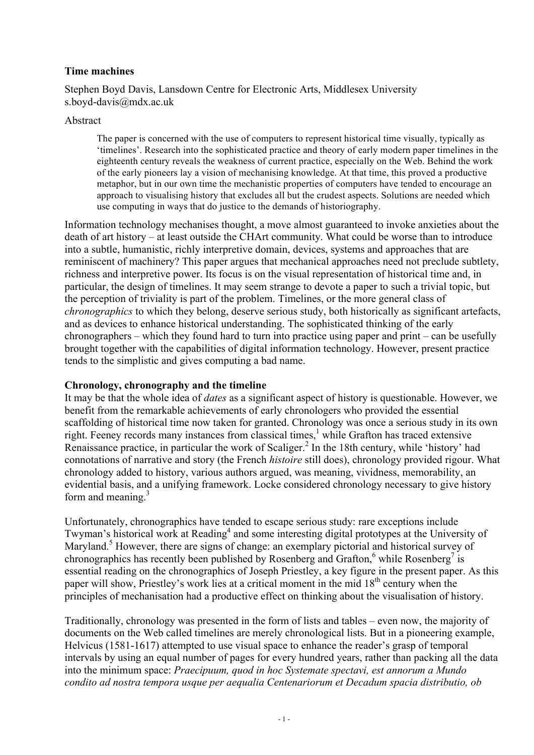# **Time machines**

Stephen Boyd Davis, Lansdown Centre for Electronic Arts, Middlesex University s.boyd-davis@mdx.ac.uk

#### Abstract

The paper is concerned with the use of computers to represent historical time visually, typically as 'timelines'. Research into the sophisticated practice and theory of early modern paper timelines in the eighteenth century reveals the weakness of current practice, especially on the Web. Behind the work of the early pioneers lay a vision of mechanising knowledge. At that time, this proved a productive metaphor, but in our own time the mechanistic properties of computers have tended to encourage an approach to visualising history that excludes all but the crudest aspects. Solutions are needed which use computing in ways that do justice to the demands of historiography.

Information technology mechanises thought, a move almost guaranteed to invoke anxieties about the death of art history – at least outside the CHArt community. What could be worse than to introduce into a subtle, humanistic, richly interpretive domain, devices, systems and approaches that are reminiscent of machinery? This paper argues that mechanical approaches need not preclude subtlety, richness and interpretive power. Its focus is on the visual representation of historical time and, in particular, the design of timelines. It may seem strange to devote a paper to such a trivial topic, but the perception of triviality is part of the problem. Timelines, or the more general class of *chronographics* to which they belong, deserve serious study, both historically as significant artefacts, and as devices to enhance historical understanding. The sophisticated thinking of the early chronographers – which they found hard to turn into practice using paper and print – can be usefully brought together with the capabilities of digital information technology. However, present practice tends to the simplistic and gives computing a bad name.

### **Chronology, chronography and the timeline**

It may be that the whole idea of *dates* as a significant aspect of history is questionable. However, we benefit from the remarkable achievements of early chronologers who provided the essential scaffolding of historical time now taken for granted. Chronology was once a serious study in its own right. Feeney records many instances from classical times,<sup>1</sup> while Grafton has traced extensive Renaissance practice, in particular the work of Scaliger.<sup>2</sup> In the 18th century, while 'history' had connotations of narrative and story (the French *histoire* still does), chronology provided rigour. What chronology added to history, various authors argued, was meaning, vividness, memorability, an evidential basis, and a unifying framework. Locke considered chronology necessary to give history form and meaning. $3$ 

Unfortunately, chronographics have tended to escape serious study: rare exceptions include Twyman's historical work at Reading<sup>4</sup> and some interesting digital prototypes at the University of Maryland.<sup>5</sup> However, there are signs of change: an exemplary pictorial and historical survey of chronographics has recently been published by Rosenberg and Grafton,  $6$  while Rosenberg<sup>7</sup> is essential reading on the chronographics of Joseph Priestley, a key figure in the present paper. As this paper will show, Priestley's work lies at a critical moment in the mid 18<sup>th</sup> century when the principles of mechanisation had a productive effect on thinking about the visualisation of history.

Traditionally, chronology was presented in the form of lists and tables – even now, the majority of documents on the Web called timelines are merely chronological lists. But in a pioneering example, Helvicus (1581-1617) attempted to use visual space to enhance the reader's grasp of temporal intervals by using an equal number of pages for every hundred years, rather than packing all the data into the minimum space: *Praecipuum, quod in hoc Systemate spectavi, est annorum a Mundo condito ad nostra tempora usque per aequalia Centenariorum et Decadum spacia distributio, ob*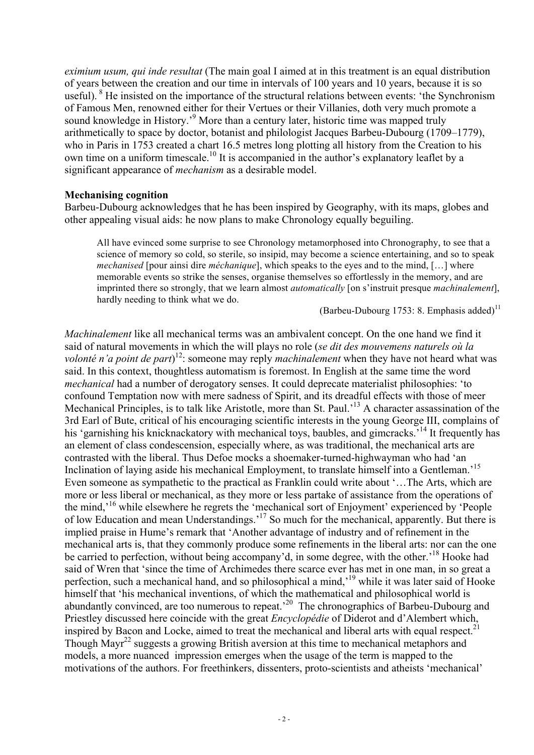*eximium usum, qui inde resultat* (The main goal I aimed at in this treatment is an equal distribution of years between the creation and our time in intervals of 100 years and 10 years, because it is so useful). <sup>8</sup> He insisted on the importance of the structural relations between events: 'the Synchronism of Famous Men, renowned either for their Vertues or their Villanies, doth very much promote a sound knowledge in History.<sup>'9</sup> More than a century later, historic time was mapped truly arithmetically to space by doctor, botanist and philologist Jacques Barbeu-Dubourg (1709–1779), who in Paris in 1753 created a chart 16.5 metres long plotting all history from the Creation to his own time on a uniform timescale.<sup>10</sup> It is accompanied in the author's explanatory leaflet by a significant appearance of *mechanism* as a desirable model.

#### **Mechanising cognition**

Barbeu-Dubourg acknowledges that he has been inspired by Geography, with its maps, globes and other appealing visual aids: he now plans to make Chronology equally beguiling.

All have evinced some surprise to see Chronology metamorphosed into Chronography, to see that a science of memory so cold, so sterile, so insipid, may become a science entertaining, and so to speak *mechanised* [pour ainsi dire *méchanique*], which speaks to the eyes and to the mind, […] where memorable events so strike the senses, organise themselves so effortlessly in the memory, and are imprinted there so strongly, that we learn almost *automatically* [on s'instruit presque *machinalement*], hardly needing to think what we do.

(Barbeu-Dubourg 1753: 8. Emphasis added)<sup>11</sup>

*Machinalement* like all mechanical terms was an ambivalent concept. On the one hand we find it said of natural movements in which the will plays no role (*se dit des mouvemens naturels où la volonté n'a point de part*) 12: someone may reply *machinalement* when they have not heard what was said. In this context, thoughtless automatism is foremost. In English at the same time the word *mechanical* had a number of derogatory senses. It could deprecate materialist philosophies: 'to confound Temptation now with mere sadness of Spirit, and its dreadful effects with those of meer Mechanical Principles, is to talk like Aristotle, more than St. Paul.<sup>13</sup> A character assassination of the 3rd Earl of Bute, critical of his encouraging scientific interests in the young George III, complains of his 'garnishing his knicknackatory with mechanical toys, baubles, and gimcracks.<sup>314</sup> It frequently has an element of class condescension, especially where, as was traditional, the mechanical arts are contrasted with the liberal. Thus Defoe mocks a shoemaker-turned-highwayman who had 'an Inclination of laying aside his mechanical Employment, to translate himself into a Gentleman.'<sup>15</sup> Even someone as sympathetic to the practical as Franklin could write about '…The Arts, which are more or less liberal or mechanical, as they more or less partake of assistance from the operations of the mind,'16 while elsewhere he regrets the 'mechanical sort of Enjoyment' experienced by 'People of low Education and mean Understandings.'17 So much for the mechanical, apparently. But there is implied praise in Hume's remark that 'Another advantage of industry and of refinement in the mechanical arts is, that they commonly produce some refinements in the liberal arts: nor can the one be carried to perfection, without being accompany'd, in some degree, with the other.<sup>18</sup> Hooke had said of Wren that 'since the time of Archimedes there scarce ever has met in one man, in so great a perfection, such a mechanical hand, and so philosophical a mind,'19 while it was later said of Hooke himself that 'his mechanical inventions, of which the mathematical and philosophical world is abundantly convinced, are too numerous to repeat.'20 The chronographics of Barbeu-Dubourg and Priestley discussed here coincide with the great *Encyclopédie* of Diderot and d'Alembert which, inspired by Bacon and Locke, aimed to treat the mechanical and liberal arts with equal respect.<sup>21</sup> Though Mayr<sup>22</sup> suggests a growing British aversion at this time to mechanical metaphors and models, a more nuanced impression emerges when the usage of the term is mapped to the motivations of the authors. For freethinkers, dissenters, proto-scientists and atheists 'mechanical'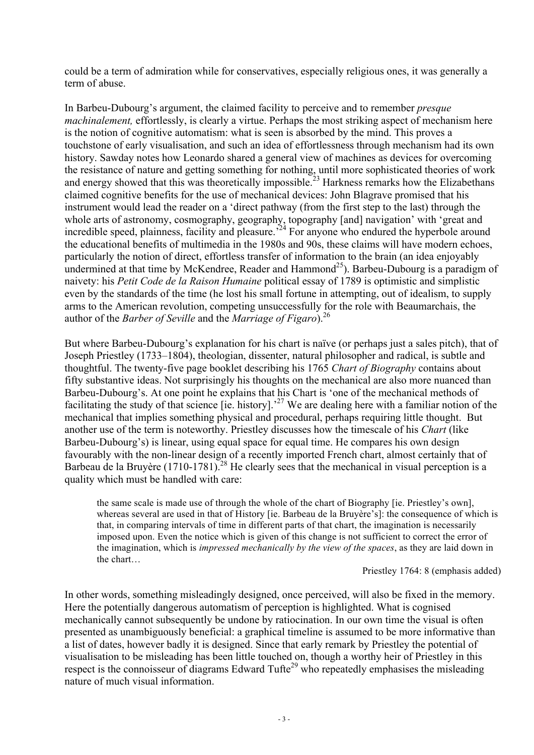could be a term of admiration while for conservatives, especially religious ones, it was generally a term of abuse.

In Barbeu-Dubourg's argument, the claimed facility to perceive and to remember *presque machinalement,* effortlessly, is clearly a virtue. Perhaps the most striking aspect of mechanism here is the notion of cognitive automatism: what is seen is absorbed by the mind. This proves a touchstone of early visualisation, and such an idea of effortlessness through mechanism had its own history. Sawday notes how Leonardo shared a general view of machines as devices for overcoming the resistance of nature and getting something for nothing, until more sophisticated theories of work and energy showed that this was theoretically impossible.<sup>23</sup> Harkness remarks how the Elizabethans claimed cognitive benefits for the use of mechanical devices: John Blagrave promised that his instrument would lead the reader on a 'direct pathway (from the first step to the last) through the whole arts of astronomy, cosmography, geography, topography [and] navigation' with 'great and incredible speed, plainness, facility and pleasure.<sup> $24$ </sup> For anyone who endured the hyperbole around the educational benefits of multimedia in the 1980s and 90s, these claims will have modern echoes, particularly the notion of direct, effortless transfer of information to the brain (an idea enjoyably undermined at that time by McKendree, Reader and Hammond<sup>25</sup>). Barbeu-Dubourg is a paradigm of naivety: his *Petit Code de la Raison Humaine* political essay of 1789 is optimistic and simplistic even by the standards of the time (he lost his small fortune in attempting, out of idealism, to supply arms to the American revolution, competing unsuccessfully for the role with Beaumarchais, the author of the *Barber of Seville* and the *Marriage of Figaro*).26

But where Barbeu-Dubourg's explanation for his chart is naïve (or perhaps just a sales pitch), that of Joseph Priestley (1733–1804), theologian, dissenter, natural philosopher and radical, is subtle and thoughtful. The twenty-five page booklet describing his 1765 *Chart of Biography* contains about fifty substantive ideas. Not surprisingly his thoughts on the mechanical are also more nuanced than Barbeu-Dubourg's. At one point he explains that his Chart is 'one of the mechanical methods of facilitating the study of that science [ie. history].<sup>27</sup> We are dealing here with a familiar notion of the mechanical that implies something physical and procedural, perhaps requiring little thought. But another use of the term is noteworthy. Priestley discusses how the timescale of his *Chart* (like Barbeu-Dubourg's) is linear, using equal space for equal time. He compares his own design favourably with the non-linear design of a recently imported French chart, almost certainly that of Barbeau de la Bruyère  $(1710-1781)^{28}$  He clearly sees that the mechanical in visual perception is a quality which must be handled with care:

the same scale is made use of through the whole of the chart of Biography [ie. Priestley's own], whereas several are used in that of History [ie. Barbeau de la Bruyère's]: the consequence of which is that, in comparing intervals of time in different parts of that chart, the imagination is necessarily imposed upon. Even the notice which is given of this change is not sufficient to correct the error of the imagination, which is *impressed mechanically by the view of the spaces*, as they are laid down in the chart…

Priestley 1764: 8 (emphasis added)

In other words, something misleadingly designed, once perceived, will also be fixed in the memory. Here the potentially dangerous automatism of perception is highlighted. What is cognised mechanically cannot subsequently be undone by ratiocination. In our own time the visual is often presented as unambiguously beneficial: a graphical timeline is assumed to be more informative than a list of dates, however badly it is designed. Since that early remark by Priestley the potential of visualisation to be misleading has been little touched on, though a worthy heir of Priestley in this respect is the connoisseur of diagrams Edward Tufte<sup>29</sup> who repeatedly emphasises the misleading nature of much visual information.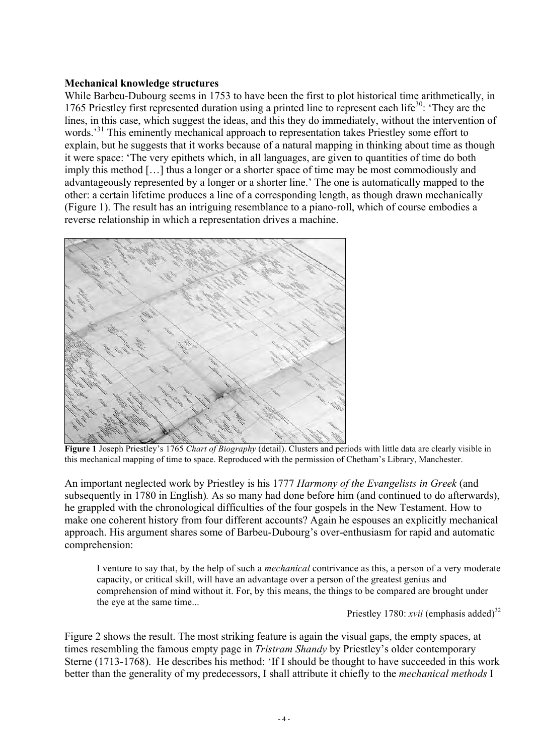### **Mechanical knowledge structures**

While Barbeu-Dubourg seems in 1753 to have been the first to plot historical time arithmetically, in 1765 Priestley first represented duration using a printed line to represent each life<sup>30</sup>: 'They are the lines, in this case, which suggest the ideas, and this they do immediately, without the intervention of words.<sup>31</sup> This eminently mechanical approach to representation takes Priestley some effort to explain, but he suggests that it works because of a natural mapping in thinking about time as though it were space: 'The very epithets which, in all languages, are given to quantities of time do both imply this method […] thus a longer or a shorter space of time may be most commodiously and advantageously represented by a longer or a shorter line.' The one is automatically mapped to the other: a certain lifetime produces a line of a corresponding length, as though drawn mechanically (Figure 1). The result has an intriguing resemblance to a piano-roll, which of course embodies a reverse relationship in which a representation drives a machine.



**Figure 1** Joseph Priestley's 1765 *Chart of Biography* (detail). Clusters and periods with little data are clearly visible in this mechanical mapping of time to space. Reproduced with the permission of Chetham's Library, Manchester.

An important neglected work by Priestley is his 1777 *Harmony of the Evangelists in Greek* (and subsequently in 1780 in English)*.* As so many had done before him (and continued to do afterwards), he grappled with the chronological difficulties of the four gospels in the New Testament. How to make one coherent history from four different accounts? Again he espouses an explicitly mechanical approach. His argument shares some of Barbeu-Dubourg's over-enthusiasm for rapid and automatic comprehension:

I venture to say that, by the help of such a *mechanical* contrivance as this, a person of a very moderate capacity, or critical skill, will have an advantage over a person of the greatest genius and comprehension of mind without it. For, by this means, the things to be compared are brought under the eye at the same time...

Priestley 1780:  $xvii$  (emphasis added)<sup>32</sup>

Figure 2 shows the result. The most striking feature is again the visual gaps, the empty spaces, at times resembling the famous empty page in *Tristram Shandy* by Priestley's older contemporary Sterne (1713-1768). He describes his method: 'If I should be thought to have succeeded in this work better than the generality of my predecessors, I shall attribute it chiefly to the *mechanical methods* I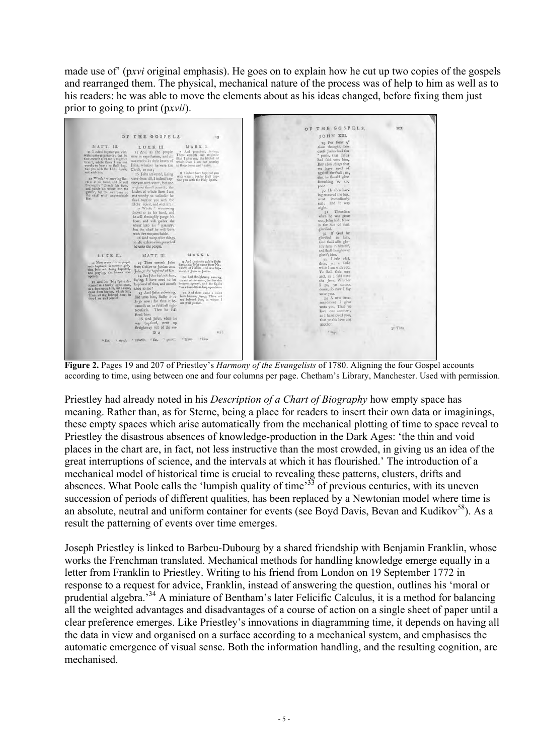made use of' (p*xvi* original emphasis). He goes on to explain how he cut up two copies of the gospels and rearranged them. The physical, mechanical nature of the process was of help to him as well as to his readers: he was able to move the elements about as his ideas changed, before fixing them just prior to going to print (p*xvii*).

|                                                                                                                                                                                                                                                                                                                                                                                                                                                                                                |                                                                                                                                                                                                                                                                                                                                                                                                                                                                                                                                                                                                                      |                                                                                                                                                                                                                                       | OF THE GOSPELS.                                                                                                                                                                                                                                                                                                                                                                                                                                                     | 207     |
|------------------------------------------------------------------------------------------------------------------------------------------------------------------------------------------------------------------------------------------------------------------------------------------------------------------------------------------------------------------------------------------------------------------------------------------------------------------------------------------------|----------------------------------------------------------------------------------------------------------------------------------------------------------------------------------------------------------------------------------------------------------------------------------------------------------------------------------------------------------------------------------------------------------------------------------------------------------------------------------------------------------------------------------------------------------------------------------------------------------------------|---------------------------------------------------------------------------------------------------------------------------------------------------------------------------------------------------------------------------------------|---------------------------------------------------------------------------------------------------------------------------------------------------------------------------------------------------------------------------------------------------------------------------------------------------------------------------------------------------------------------------------------------------------------------------------------------------------------------|---------|
|                                                                                                                                                                                                                                                                                                                                                                                                                                                                                                | OF THE GOSPELS.                                                                                                                                                                                                                                                                                                                                                                                                                                                                                                                                                                                                      |                                                                                                                                                                                                                                       | JOHN XIII,                                                                                                                                                                                                                                                                                                                                                                                                                                                          |         |
| MATT. III.<br>11 I indeed baptize you with<br>water unto repentance; but he<br>that cometh after me is mightier<br>than I, whole fhoes I am not<br>worthy to bear : he fhall leag-<br>tize you with the Holy Spirit, Chrift, or not a<br>and mid- fire.<br>12 Whole ' winnowing fhe- unto them all, I indeed bap-<br>vel is in his hard, and he will<br>theroughly " cleanfe his floor,<br>and gather his wheat into the<br>gamer, but he will burn up<br>the chaff with unquenchable<br>fire. | LUKE III.<br>15 And as the people.<br>were in expectation, and all.<br>may mused in their hearts of<br>John, whether he were the to floop down and " antin.<br>16 John aniwered, faving<br>tize you with water ; but one<br>mightier than I cometh, the<br>latchet of whole thoes I am<br>not worthy to unlooke; he<br>fhall buptize you with the<br>Holy Spirit, and with fire-<br>17 Whole winnowing<br>fhovel is in his hand, and<br>he will throughly purge his<br>floor, and will gather the<br>wheat into his " granary;<br>but the chaff he will burn<br>with fire unquenchable.<br>18 And many other things. | 10<br>MARK L<br>And preached, favour,<br>There cometh one mighter<br>than I after me, the latchit of<br>whale thors I am not worthy<br>8 I indeed have haptized you<br>with water; but he thall bap-<br>tize you with the Holy opint. | 29 For fome of<br>them thought, be-<br>caufe Judas had the<br>* purfe, that Jefus<br>had faid unto him,<br>Buy those things that<br>we have need of<br>againft the feaft; or,<br>that he fhould give<br>fomething to the<br>poor.<br>30 He then hav-<br>ing received the fop,<br>went immediately.<br>out: and it was<br>night.<br>31 Therefore<br>when he was gone<br>out, Jefus faid, Now<br>is the Son of man<br>glorified.<br>32 If God be<br>glorified in him, |         |
|                                                                                                                                                                                                                                                                                                                                                                                                                                                                                                | in his exhartation preached<br>he unto the people.                                                                                                                                                                                                                                                                                                                                                                                                                                                                                                                                                                   | MARKL                                                                                                                                                                                                                                 | God fhall alfo glo-<br>rify him in himfelf,<br>and fhall ftraightway                                                                                                                                                                                                                                                                                                                                                                                                |         |
| LUKE III.                                                                                                                                                                                                                                                                                                                                                                                                                                                                                      | MATT. III.                                                                                                                                                                                                                                                                                                                                                                                                                                                                                                                                                                                                           |                                                                                                                                                                                                                                       | glorify him.<br>33 Little chil-                                                                                                                                                                                                                                                                                                                                                                                                                                     |         |
| 21 Now when all the propie<br>were haptized, it came to pati-<br>that Jesus also being baptized,<br>and praying, the heaven was<br>opened,                                                                                                                                                                                                                                                                                                                                                     | 12 Then cometh Jefus<br>from Galilee to Jordan unto<br>John, to be baptized of him.<br>14 But John forbade him,<br>faying, I have need to be                                                                                                                                                                                                                                                                                                                                                                                                                                                                         | o And it came to pals in those<br>days, that Jefus came from Na-<br>zareth of Galilee, and was bap-<br>tized of John in Jordan.<br>to And ftraightway coming                                                                          | dren, yet a little<br>while I am with you.<br>Ye fhall feek me:<br>and, as I faid unto                                                                                                                                                                                                                                                                                                                                                                              |         |
| 22 And the Holy Spirit de-<br>feended in a bodily <sup>1</sup> appearance,<br>as a dove upon him, and avoice,                                                                                                                                                                                                                                                                                                                                                                                  | baptized of thee, and comeft<br>thou to me?                                                                                                                                                                                                                                                                                                                                                                                                                                                                                                                                                                          | up out of the water, he faw the<br>bearens opened, and the Spirit<br>as a dove defeending upon him.                                                                                                                                   | the Jews, Whither<br>I go, ye cannot<br>come, fo now I fay                                                                                                                                                                                                                                                                                                                                                                                                          |         |
| came from heaven, which faid,<br>Thou art my beloved Son; in<br>they I am well pleafed.                                                                                                                                                                                                                                                                                                                                                                                                        | 15 And Jefus aniwering,<br>faid unto him, Suffer it to<br>be fo now: for thus it be-<br>conteth us to fulfil all righ-<br>teoufnefs. Then he ful-                                                                                                                                                                                                                                                                                                                                                                                                                                                                    | 11 And there came a voice<br>from heaven, faying, Thou art<br>my beloved Son, in whom I<br>am well pleafed,                                                                                                                           | unto vou.<br>%4 A new com-<br>mandment I give<br>unto you, That ye<br>love one another <b>1</b>                                                                                                                                                                                                                                                                                                                                                                     |         |
|                                                                                                                                                                                                                                                                                                                                                                                                                                                                                                | fered him.<br>16 And Jefur, when he<br>was baptized, went up<br>ftraightway out of the wa-                                                                                                                                                                                                                                                                                                                                                                                                                                                                                                                           |                                                                                                                                                                                                                                       | as I have loved you,<br>that ye alfo love one.<br>another.                                                                                                                                                                                                                                                                                                                                                                                                          | 31 Then |
|                                                                                                                                                                                                                                                                                                                                                                                                                                                                                                | D <sub>2</sub>                                                                                                                                                                                                                                                                                                                                                                                                                                                                                                                                                                                                       | ter :                                                                                                                                                                                                                                 | $*$ has.                                                                                                                                                                                                                                                                                                                                                                                                                                                            |         |
| $+$ fan,                                                                                                                                                                                                                                                                                                                                                                                                                                                                                       | " purge, " unlook, " fan. " gamer.                                                                                                                                                                                                                                                                                                                                                                                                                                                                                                                                                                                   | Flass<br><sup>2</sup> Earpor                                                                                                                                                                                                          |                                                                                                                                                                                                                                                                                                                                                                                                                                                                     |         |
|                                                                                                                                                                                                                                                                                                                                                                                                                                                                                                |                                                                                                                                                                                                                                                                                                                                                                                                                                                                                                                                                                                                                      |                                                                                                                                                                                                                                       |                                                                                                                                                                                                                                                                                                                                                                                                                                                                     |         |

 **Figure 2.** Pages 19 and 207 of Priestley's *Harmony of the Evangelists* of 1780. Aligning the four Gospel accounts according to time, using between one and four columns per page. Chetham's Library, Manchester. Used with permission.

Priestley had already noted in his *Description of a Chart of Biography* how empty space has meaning. Rather than, as for Sterne, being a place for readers to insert their own data or imaginings, these empty spaces which arise automatically from the mechanical plotting of time to space reveal to Priestley the disastrous absences of knowledge-production in the Dark Ages: 'the thin and void places in the chart are, in fact, not less instructive than the most crowded, in giving us an idea of the great interruptions of science, and the intervals at which it has flourished.' The introduction of a mechanical model of historical time is crucial to revealing these patterns, clusters, drifts and absences. What Poole calls the 'lumpish quality of time'<sup>33</sup> of previous centuries, with its uneven succession of periods of different qualities, has been replaced by a Newtonian model where time is an absolute, neutral and uniform container for events (see Boyd Davis, Bevan and Kudikov $^{58}$ ). As a result the patterning of events over time emerges.

Joseph Priestley is linked to Barbeu-Dubourg by a shared friendship with Benjamin Franklin, whose works the Frenchman translated. Mechanical methods for handling knowledge emerge equally in a letter from Franklin to Priestley. Writing to his friend from London on 19 September 1772 in response to a request for advice, Franklin, instead of answering the question, outlines his 'moral or prudential algebra.'34 A miniature of Bentham's later Felicific Calculus, it is a method for balancing all the weighted advantages and disadvantages of a course of action on a single sheet of paper until a clear preference emerges. Like Priestley's innovations in diagramming time, it depends on having all the data in view and organised on a surface according to a mechanical system, and emphasises the automatic emergence of visual sense. Both the information handling, and the resulting cognition, are mechanised.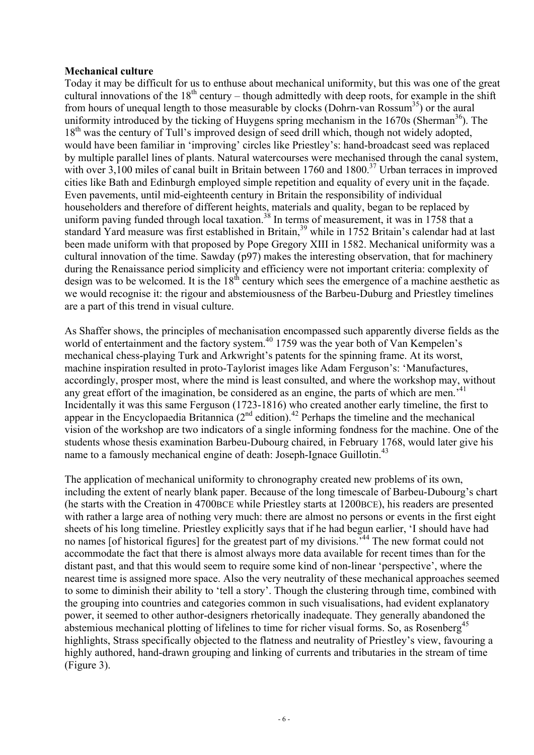## **Mechanical culture**

Today it may be difficult for us to enthuse about mechanical uniformity, but this was one of the great cultural innovations of the  $18<sup>th</sup>$  century – though admittedly with deep roots, for example in the shift from hours of unequal length to those measurable by clocks (Dohrn-van Rossum<sup>35</sup>) or the aural uniformity introduced by the ticking of Huygens spring mechanism in the  $1670s$  (Sherman<sup>36</sup>). The 18<sup>th</sup> was the century of Tull's improved design of seed drill which, though not widely adopted, would have been familiar in 'improving' circles like Priestley's: hand-broadcast seed was replaced by multiple parallel lines of plants. Natural watercourses were mechanised through the canal system, with over 3,100 miles of canal built in Britain between 1760 and 1800.<sup>37</sup> Urban terraces in improved cities like Bath and Edinburgh employed simple repetition and equality of every unit in the façade. Even pavements, until mid-eighteenth century in Britain the responsibility of individual householders and therefore of different heights, materials and quality, began to be replaced by uniform paving funded through local taxation.<sup>38</sup> In terms of measurement, it was in 1758 that a standard Yard measure was first established in Britain,<sup>39</sup> while in 1752 Britain's calendar had at last been made uniform with that proposed by Pope Gregory XIII in 1582. Mechanical uniformity was a cultural innovation of the time. Sawday (p97) makes the interesting observation, that for machinery during the Renaissance period simplicity and efficiency were not important criteria: complexity of design was to be welcomed. It is the 18<sup>th</sup> century which sees the emergence of a machine aesthetic as we would recognise it: the rigour and abstemiousness of the Barbeu-Duburg and Priestley timelines are a part of this trend in visual culture.

As Shaffer shows, the principles of mechanisation encompassed such apparently diverse fields as the world of entertainment and the factory system.<sup>40</sup> 1759 was the year both of Van Kempelen's mechanical chess-playing Turk and Arkwright's patents for the spinning frame. At its worst, machine inspiration resulted in proto-Taylorist images like Adam Ferguson's: 'Manufactures, accordingly, prosper most, where the mind is least consulted, and where the workshop may, without any great effort of the imagination, be considered as an engine, the parts of which are men.<sup>341</sup> Incidentally it was this same Ferguson (1723-1816) who created another early timeline, the first to appear in the Encyclopaedia Britannica  $(2^{nd}$  edition).<sup>42</sup> Perhaps the timeline and the mechanical vision of the workshop are two indicators of a single informing fondness for the machine. One of the students whose thesis examination Barbeu-Dubourg chaired, in February 1768, would later give his name to a famously mechanical engine of death: Joseph-Ignace Guillotin.<sup>43</sup>

The application of mechanical uniformity to chronography created new problems of its own, including the extent of nearly blank paper. Because of the long timescale of Barbeu-Dubourg's chart (he starts with the Creation in 4700BCE while Priestley starts at 1200BCE), his readers are presented with rather a large area of nothing very much: there are almost no persons or events in the first eight sheets of his long timeline. Priestley explicitly says that if he had begun earlier, 'I should have had no names [of historical figures] for the greatest part of my divisions.<sup>44</sup> The new format could not accommodate the fact that there is almost always more data available for recent times than for the distant past, and that this would seem to require some kind of non-linear 'perspective', where the nearest time is assigned more space. Also the very neutrality of these mechanical approaches seemed to some to diminish their ability to 'tell a story'. Though the clustering through time, combined with the grouping into countries and categories common in such visualisations, had evident explanatory power, it seemed to other author-designers rhetorically inadequate. They generally abandoned the abstemious mechanical plotting of lifelines to time for richer visual forms. So, as Rosenberg<sup>45</sup> highlights, Strass specifically objected to the flatness and neutrality of Priestley's view, favouring a highly authored, hand-drawn grouping and linking of currents and tributaries in the stream of time (Figure 3).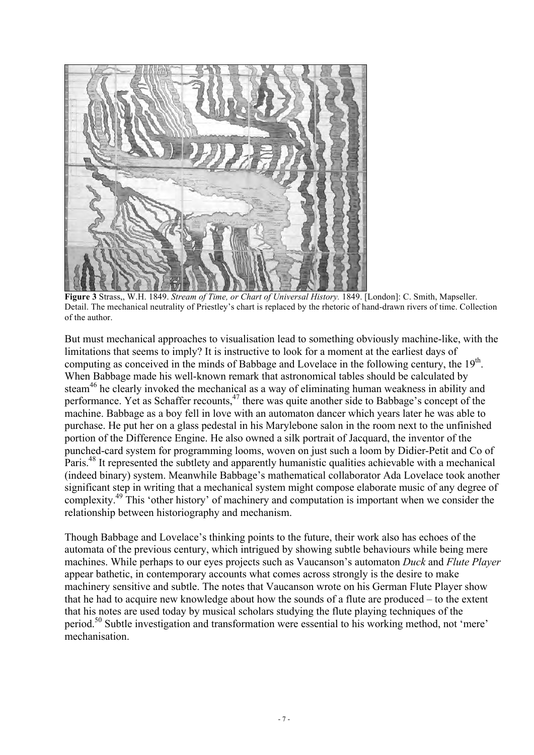

**Figure 3** Strass,, W.H. 1849. *Stream of Time, or Chart of Universal History.* 1849. [London]: C. Smith, Mapseller. Detail. The mechanical neutrality of Priestley's chart is replaced by the rhetoric of hand-drawn rivers of time. Collection of the author.

But must mechanical approaches to visualisation lead to something obviously machine-like, with the limitations that seems to imply? It is instructive to look for a moment at the earliest days of computing as conceived in the minds of Babbage and Lovelace in the following century, the 19<sup>th</sup>. When Babbage made his well-known remark that astronomical tables should be calculated by steam<sup>46</sup> he clearly invoked the mechanical as a way of eliminating human weakness in ability and performance. Yet as Schaffer recounts, $47$  there was quite another side to Babbage's concept of the machine. Babbage as a boy fell in love with an automaton dancer which years later he was able to purchase. He put her on a glass pedestal in his Marylebone salon in the room next to the unfinished portion of the Difference Engine. He also owned a silk portrait of Jacquard, the inventor of the punched-card system for programming looms, woven on just such a loom by Didier-Petit and Co of Paris.<sup>48</sup> It represented the subtlety and apparently humanistic qualities achievable with a mechanical (indeed binary) system. Meanwhile Babbage's mathematical collaborator Ada Lovelace took another significant step in writing that a mechanical system might compose elaborate music of any degree of complexity.49 This 'other history' of machinery and computation is important when we consider the relationship between historiography and mechanism.

Though Babbage and Lovelace's thinking points to the future, their work also has echoes of the automata of the previous century, which intrigued by showing subtle behaviours while being mere machines. While perhaps to our eyes projects such as Vaucanson's automaton *Duck* and *Flute Player* appear bathetic, in contemporary accounts what comes across strongly is the desire to make machinery sensitive and subtle. The notes that Vaucanson wrote on his German Flute Player show that he had to acquire new knowledge about how the sounds of a flute are produced – to the extent that his notes are used today by musical scholars studying the flute playing techniques of the period.50 Subtle investigation and transformation were essential to his working method, not 'mere' mechanisation.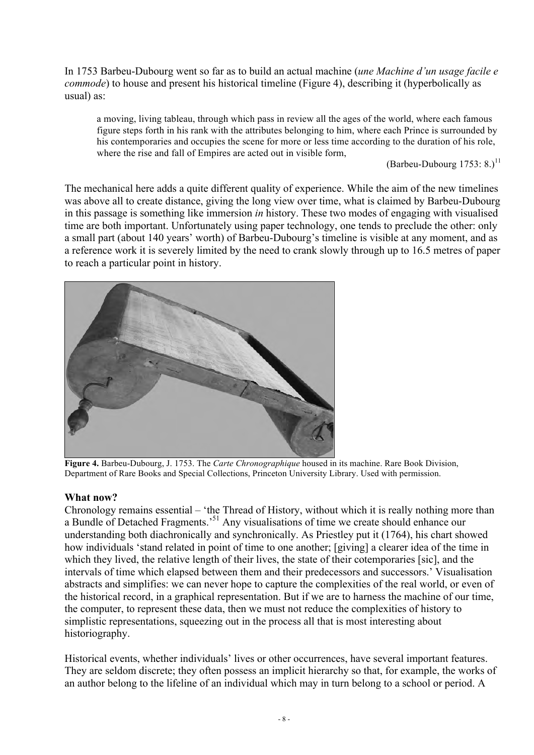In 1753 Barbeu-Dubourg went so far as to build an actual machine (*une Machine d'un usage facile e commode*) to house and present his historical timeline (Figure 4), describing it (hyperbolically as usual) as:

a moving, living tableau, through which pass in review all the ages of the world, where each famous figure steps forth in his rank with the attributes belonging to him, where each Prince is surrounded by his contemporaries and occupies the scene for more or less time according to the duration of his role, where the rise and fall of Empires are acted out in visible form,

(Barbeu-Dubourg  $1753: 8.$ )<sup>11</sup>

The mechanical here adds a quite different quality of experience. While the aim of the new timelines was above all to create distance, giving the long view over time, what is claimed by Barbeu-Dubourg in this passage is something like immersion *in* history. These two modes of engaging with visualised time are both important. Unfortunately using paper technology, one tends to preclude the other: only a small part (about 140 years' worth) of Barbeu-Dubourg's timeline is visible at any moment, and as a reference work it is severely limited by the need to crank slowly through up to 16.5 metres of paper to reach a particular point in history.



**Figure 4.** Barbeu-Dubourg, J. 1753. The *Carte Chronographique* housed in its machine. Rare Book Division, Department of Rare Books and Special Collections, Princeton University Library. Used with permission.

### **What now?**

Chronology remains essential – 'the Thread of History, without which it is really nothing more than a Bundle of Detached Fragments.'51 Any visualisations of time we create should enhance our understanding both diachronically and synchronically. As Priestley put it (1764), his chart showed how individuals 'stand related in point of time to one another; [giving] a clearer idea of the time in which they lived, the relative length of their lives, the state of their cotemporaries [sic], and the intervals of time which elapsed between them and their predecessors and successors.' Visualisation abstracts and simplifies: we can never hope to capture the complexities of the real world, or even of the historical record, in a graphical representation. But if we are to harness the machine of our time, the computer, to represent these data, then we must not reduce the complexities of history to simplistic representations, squeezing out in the process all that is most interesting about historiography.

Historical events, whether individuals' lives or other occurrences, have several important features. They are seldom discrete; they often possess an implicit hierarchy so that, for example, the works of an author belong to the lifeline of an individual which may in turn belong to a school or period. A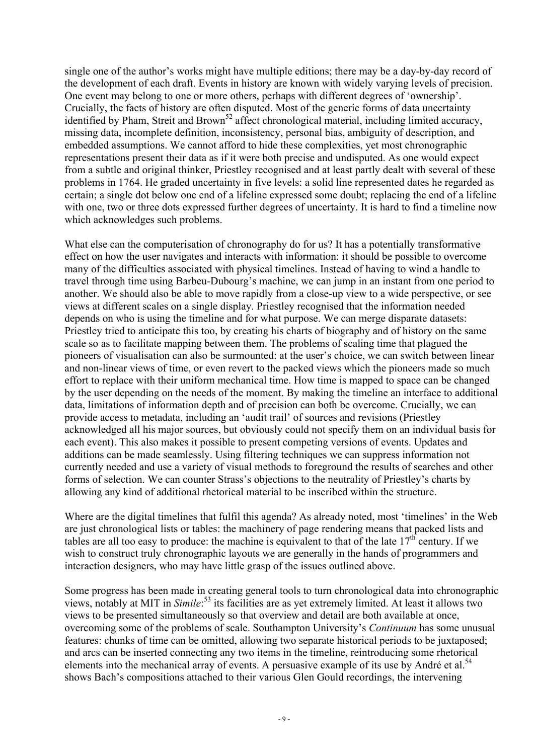single one of the author's works might have multiple editions; there may be a day-by-day record of the development of each draft. Events in history are known with widely varying levels of precision. One event may belong to one or more others, perhaps with different degrees of 'ownership'. Crucially, the facts of history are often disputed. Most of the generic forms of data uncertainty identified by Pham, Streit and Brown<sup>52</sup> affect chronological material, including limited accuracy, missing data, incomplete definition, inconsistency, personal bias, ambiguity of description, and embedded assumptions. We cannot afford to hide these complexities, yet most chronographic representations present their data as if it were both precise and undisputed. As one would expect from a subtle and original thinker, Priestley recognised and at least partly dealt with several of these problems in 1764. He graded uncertainty in five levels: a solid line represented dates he regarded as certain; a single dot below one end of a lifeline expressed some doubt; replacing the end of a lifeline with one, two or three dots expressed further degrees of uncertainty. It is hard to find a timeline now which acknowledges such problems.

What else can the computerisation of chronography do for us? It has a potentially transformative effect on how the user navigates and interacts with information: it should be possible to overcome many of the difficulties associated with physical timelines. Instead of having to wind a handle to travel through time using Barbeu-Dubourg's machine, we can jump in an instant from one period to another. We should also be able to move rapidly from a close-up view to a wide perspective, or see views at different scales on a single display. Priestley recognised that the information needed depends on who is using the timeline and for what purpose. We can merge disparate datasets: Priestley tried to anticipate this too, by creating his charts of biography and of history on the same scale so as to facilitate mapping between them. The problems of scaling time that plagued the pioneers of visualisation can also be surmounted: at the user's choice, we can switch between linear and non-linear views of time, or even revert to the packed views which the pioneers made so much effort to replace with their uniform mechanical time. How time is mapped to space can be changed by the user depending on the needs of the moment. By making the timeline an interface to additional data, limitations of information depth and of precision can both be overcome. Crucially, we can provide access to metadata, including an 'audit trail' of sources and revisions (Priestley acknowledged all his major sources, but obviously could not specify them on an individual basis for each event). This also makes it possible to present competing versions of events. Updates and additions can be made seamlessly. Using filtering techniques we can suppress information not currently needed and use a variety of visual methods to foreground the results of searches and other forms of selection. We can counter Strass's objections to the neutrality of Priestley's charts by allowing any kind of additional rhetorical material to be inscribed within the structure.

Where are the digital timelines that fulfil this agenda? As already noted, most 'timelines' in the Web are just chronological lists or tables: the machinery of page rendering means that packed lists and tables are all too easy to produce: the machine is equivalent to that of the late  $17<sup>th</sup>$  century. If we wish to construct truly chronographic layouts we are generally in the hands of programmers and interaction designers, who may have little grasp of the issues outlined above.

Some progress has been made in creating general tools to turn chronological data into chronographic views, notably at MIT in *Simile*:<sup>53</sup> its facilities are as yet extremely limited. At least it allows two views to be presented simultaneously so that overview and detail are both available at once, overcoming some of the problems of scale. Southampton University's *Continuum* has some unusual features: chunks of time can be omitted, allowing two separate historical periods to be juxtaposed; and arcs can be inserted connecting any two items in the timeline, reintroducing some rhetorical elements into the mechanical array of events. A persuasive example of its use by André et al.<sup>54</sup> shows Bach's compositions attached to their various Glen Gould recordings, the intervening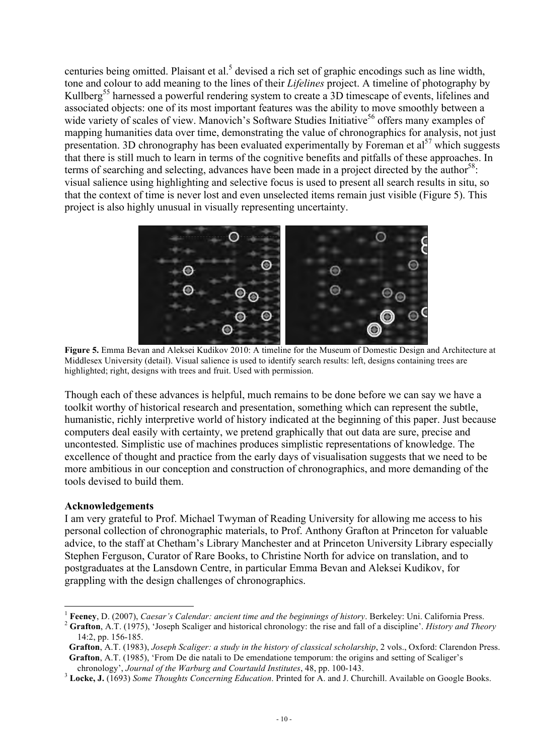centuries being omitted. Plaisant et al.<sup>5</sup> devised a rich set of graphic encodings such as line width, tone and colour to add meaning to the lines of their *Lifelines* project. A timeline of photography by Kullberg<sup>55</sup> harnessed a powerful rendering system to create a 3D timescape of events, lifelines and associated objects: one of its most important features was the ability to move smoothly between a wide variety of scales of view. Manovich's Software Studies Initiative<sup>56</sup> offers many examples of mapping humanities data over time, demonstrating the value of chronographics for analysis, not just presentation. 3D chronography has been evaluated experimentally by Foreman et  $a^{57}$  which suggests that there is still much to learn in terms of the cognitive benefits and pitfalls of these approaches. In terms of searching and selecting, advances have been made in a project directed by the author<sup>58</sup>: visual salience using highlighting and selective focus is used to present all search results in situ, so that the context of time is never lost and even unselected items remain just visible (Figure 5). This project is also highly unusual in visually representing uncertainty.



 **Figure 5.** Emma Bevan and Aleksei Kudikov 2010: A timeline for the Museum of Domestic Design and Architecture at Middlesex University (detail). Visual salience is used to identify search results: left, designs containing trees are highlighted; right, designs with trees and fruit. Used with permission.

Though each of these advances is helpful, much remains to be done before we can say we have a toolkit worthy of historical research and presentation, something which can represent the subtle, humanistic, richly interpretive world of history indicated at the beginning of this paper. Just because computers deal easily with certainty, we pretend graphically that out data are sure, precise and uncontested. Simplistic use of machines produces simplistic representations of knowledge. The excellence of thought and practice from the early days of visualisation suggests that we need to be more ambitious in our conception and construction of chronographics, and more demanding of the tools devised to build them.

### **Acknowledgements**

I am very grateful to Prof. Michael Twyman of Reading University for allowing me access to his personal collection of chronographic materials, to Prof. Anthony Grafton at Princeton for valuable advice, to the staff at Chetham's Library Manchester and at Princeton University Library especially Stephen Ferguson, Curator of Rare Books, to Christine North for advice on translation, and to postgraduates at the Lansdown Centre, in particular Emma Bevan and Aleksei Kudikov, for grappling with the design challenges of chronographics.

Feeney, D. (2007), Caesar's Calendar: ancient time and the beginnings of history. Berkeley: Uni. California Press.<br>Grafton, A.T. (1975), 'Joseph Scaliger and historical chronology: the rise and fall of a discipline'. *Hist* 

<sup>14:2,</sup> pp. 156-185.

**Grafton**, A.T. (1983), *Joseph Scaliger: a study in the history of classical scholarship*, 2 vols., Oxford: Clarendon Press.  **Grafton**, A.T. (1985), 'From De die natali to De emendatione temporum: the origins and setting of Scaliger's

chronology', *Journal of the Warburg and Courtauld Institutes*, 48, pp. 100-143. <sup>3</sup> **Locke, J.** (1693) *Some Thoughts Concerning Education*. Printed for A. and J. Churchill. Available on Google Books.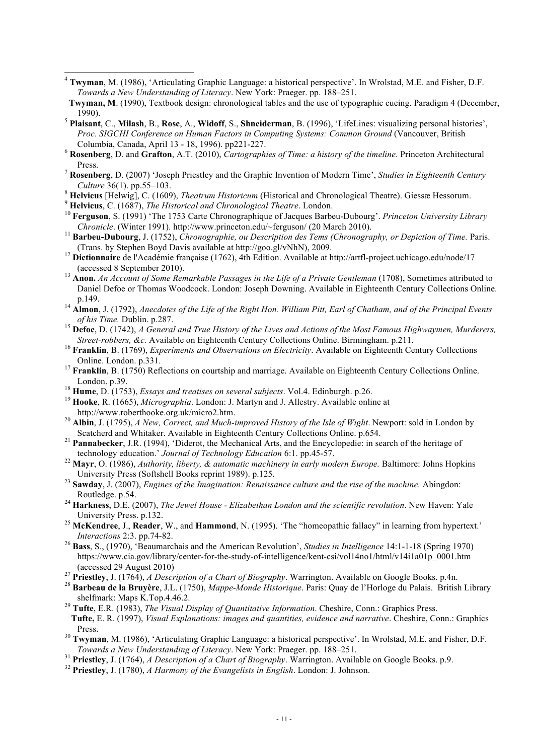- 4 **Twyman**, M. (1986), 'Articulating Graphic Language: a historical perspective'. In Wrolstad, M.E. and Fisher, D.F. *Towards a New Understanding of Literacy*. New York: Praeger. pp. 188–251.
- **Twyman, M**. (1990), Textbook design: chronological tables and the use of typographic cueing. Paradigm 4 (December, 1990). <sup>5</sup> **Plaisant**, C., **Milash**, B., **Rose**, A., **Widoff**, S., **Shneiderman**, B. (1996), 'LifeLines: visualizing personal histories',
- *Proc. SIGCHI Conference on Human Factors in Computing Systems: Common Ground (Vancouver, British Columbia, Canada, April 13 18, 1996). pp221-227.*
- $^6$  Rosenberg, D. and Grafton, A.T. (2010), *Cartographies of Time: a history of the timeline*. Princeton Architectural
- Press. <sup>7</sup> **Rosenberg**, D. (2007) 'Joseph Priestley and the Graphic Invention of Modern Time', *Studies in Eighteenth Century*
- 
- 
- <sup>8</sup> Helvicus [Helwig], C. (1609), *Theatrum Historicum* (Historical and Chronological Theatre). Giessæ Hessorum.<br><sup>9</sup> Helvicus, C. (1687), *The Historical and Chronological Theatre*. London.<br><sup>10</sup> Ferguson, S. (1991) 'The 1
- <sup>11</sup> Barbeu-Dubourg, J. (1752), *Chronographie, ou Description des Tems (Chronography, or Depiction of Time. Paris.* (Trans. by Stephen Boyd Davis available at http://goo.gl/vNhN), 2009. <sup>12</sup> **Dictionnaire** de l'Académie française (1762), 4th Edition. Available at http://artfl-project.uchicago.edu/node/17
- (accessed 8 September 2010). <sup>13</sup> **Anon.** *An Account of Some Remarkable Passages in the Life of a Private Gentleman* (1708), Sometimes attributed to
- Daniel Defoe or Thomas Woodcock. London: Joseph Downing. Available in Eighteenth Century Collections Online.
- p.149. <sup>14</sup> **Almon**, J. (1792), *Anecdotes of the Life of the Right Hon. William Pitt, Earl of Chatham, and of the Principal Events*
- *of his Time.* Dublin. p.287.<br><sup>15</sup> **Defoe**, D. (1742), *A General and True History of the Lives and Actions of the Most Famous Highwaymen, Murderers, <i>Street-robbers. &c.* Available on Eighteenth Century Collections Online
- <sup>16</sup> Franklin, B. (1769), *Experiments and Observations on Electricity*. Available on Eighteenth Century Collections Online. London. p.331. <sup>17</sup> **Franklin**, B. (1750) Reflections on courtship and marriage. Available on Eighteenth Century Collections Online.
- London. p.39. <sup>18</sup> **Hume**, D. (1753), *Essays and treatises on several subjects*. Vol.4. Edinburgh. p.26. <sup>19</sup> **Hooke**, R. (1665), *Micrographia*. London: J. Martyn and J. Allestry. Available online at
- 
- 
- http://www.roberthooke.org.uk/micro2.htm. <sup>20</sup> **Albin**, J. (1795), *A New, Correct, and Much-improved History of the Isle of Wight*. Newport: sold in London by
- <sup>21</sup> **Pannabecker**, J.R. (1994), 'Diderot, the Mechanical Arts, and the Encyclopedie: in search of the heritage of
- technology education.' *Journal of Technology Education* 6:1. pp.45-57. <sup>22</sup> **Mayr**, O. (1986), *Authority, liberty, & automatic machinery in early modern Europe.* Baltimore: Johns Hopkins University Press (Softshell Books reprint 1989). p.125. <sup>23</sup> **Sawday**, J. (2007), *Engines of the Imagination: Renaissance culture and the rise of the machine.* Abingdon:
- Routledge. p.54. <sup>24</sup> **Harkness**, D.E. (2007), *The Jewel House Elizabethan London and the scientific revolution*. New Haven: Yale
- University Press. p.132. <sup>25</sup> **McKendree**, J., **Reader**, W., and **Hammond**, N. (1995). 'The "homeopathic fallacy" in learning from hypertext.'
- *Interactions* 2:3. pp.74-82. <sup>26</sup> **Bass**, S., (1970), 'Beaumarchais and the American Revolution', *Studies in Intelligence* 14:1-1-18 (Spring 1970)
- https://www.cia.gov/library/center-for-the-study-of-intelligence/kent-csi/vol14no1/html/v14i1a01p\_0001.htm
- 
- (accessed 29 August 2010)<br><sup>27</sup> Priestley, J. (1764), *A Description of a Chart of Biography*. Warrington. Available on Google Books. p.4n.<br><sup>28</sup> Barbeau de la Bruvère, J.L. (1750), *Mappe-Monde Historique*. Paris: Quay de l shelfmark: Maps K.Top.4.46.2. <sup>29</sup> **Tufte**, E.R. (1983), *The Visual Display of Quantitative Information*. Cheshire, Conn.: Graphics Press.
- **Tufte,** E. R. (1997), *Visual Explanations: images and quantities, evidence and narrative*. Cheshire, Conn.: Graphics
- Press. 30 **Twyman**, M. (1986), 'Articulating Graphic Language: a historical perspective'. In Wrolstad, M.E. and Fisher, D.F. *Towards a New Understanding of Literacy*. New York: Praeger. pp. 188–251.
- <sup>31</sup> Priestley, J. (1764), *A Description of a Chart of Biography*. Warrington. Available on Google Books. p.9.<br><sup>32</sup> Priestley, J. (1780), *A Harmony of the Evangelists in English*. London: J. Johnson.
-